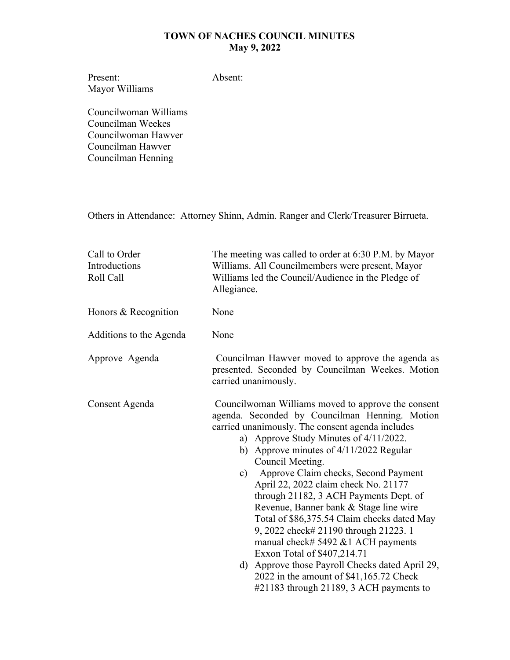Present: Mayor Williams Absent:

Councilwoman Williams Councilman Weekes Councilwoman Hawver Councilman Hawver Councilman Henning

Others in Attendance: Attorney Shinn, Admin. Ranger and Clerk/Treasurer Birrueta.

| Call to Order<br>Introductions<br>Roll Call | The meeting was called to order at 6:30 P.M. by Mayor<br>Williams. All Councilmembers were present, Mayor<br>Williams led the Council/Audience in the Pledge of<br>Allegiance.                                                                                                                                                                                                                                                                                                                                                                                                                                                                                                                                                                                  |
|---------------------------------------------|-----------------------------------------------------------------------------------------------------------------------------------------------------------------------------------------------------------------------------------------------------------------------------------------------------------------------------------------------------------------------------------------------------------------------------------------------------------------------------------------------------------------------------------------------------------------------------------------------------------------------------------------------------------------------------------------------------------------------------------------------------------------|
| Honors & Recognition                        | None                                                                                                                                                                                                                                                                                                                                                                                                                                                                                                                                                                                                                                                                                                                                                            |
| Additions to the Agenda                     | None                                                                                                                                                                                                                                                                                                                                                                                                                                                                                                                                                                                                                                                                                                                                                            |
| Approve Agenda                              | Councilman Hawver moved to approve the agenda as<br>presented. Seconded by Councilman Weekes. Motion<br>carried unanimously.                                                                                                                                                                                                                                                                                                                                                                                                                                                                                                                                                                                                                                    |
| Consent Agenda                              | Councilwoman Williams moved to approve the consent<br>agenda. Seconded by Councilman Henning. Motion<br>carried unanimously. The consent agenda includes<br>a) Approve Study Minutes of 4/11/2022.<br>b) Approve minutes of 4/11/2022 Regular<br>Council Meeting.<br>Approve Claim checks, Second Payment<br>$\mathbf{c})$<br>April 22, 2022 claim check No. 21177<br>through 21182, 3 ACH Payments Dept. of<br>Revenue, Banner bank & Stage line wire<br>Total of \$86,375.54 Claim checks dated May<br>9, 2022 check# 21190 through 21223. 1<br>manual check# 5492 $&$ 1 ACH payments<br>Exxon Total of \$407,214.71<br>d) Approve those Payroll Checks dated April 29,<br>2022 in the amount of \$41,165.72 Check<br>#21183 through 21189, 3 ACH payments to |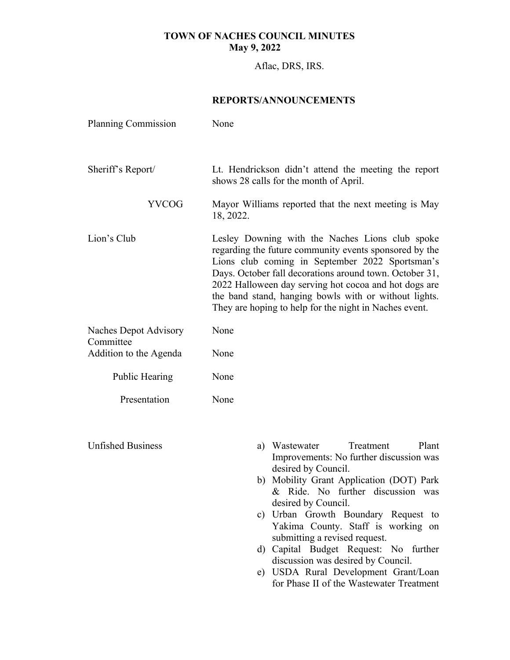Aflac, DRS, IRS.

#### **REPORTS/ANNOUNCEMENTS**

| <b>Planning Commission</b>                | None                                                                                                                                                                                                                                                                                                                                                                                                |
|-------------------------------------------|-----------------------------------------------------------------------------------------------------------------------------------------------------------------------------------------------------------------------------------------------------------------------------------------------------------------------------------------------------------------------------------------------------|
| Sheriff's Report/                         | Lt. Hendrickson didn't attend the meeting the report<br>shows 28 calls for the month of April.                                                                                                                                                                                                                                                                                                      |
| <b>YVCOG</b>                              | Mayor Williams reported that the next meeting is May<br>18, 2022.                                                                                                                                                                                                                                                                                                                                   |
| Lion's Club                               | Lesley Downing with the Naches Lions club spoke<br>regarding the future community events sponsored by the<br>Lions club coming in September 2022 Sportsman's<br>Days. October fall decorations around town. October 31,<br>2022 Halloween day serving hot cocoa and hot dogs are<br>the band stand, hanging bowls with or without lights.<br>They are hoping to help for the night in Naches event. |
| <b>Naches Depot Advisory</b><br>Committee | None                                                                                                                                                                                                                                                                                                                                                                                                |
| Addition to the Agenda                    | None                                                                                                                                                                                                                                                                                                                                                                                                |
| <b>Public Hearing</b>                     | None                                                                                                                                                                                                                                                                                                                                                                                                |
| Presentation                              | None                                                                                                                                                                                                                                                                                                                                                                                                |
|                                           |                                                                                                                                                                                                                                                                                                                                                                                                     |
| <b>Unfished Business</b>                  | a) Wastewater<br>Treatment<br>Plant<br>Improvements: No further discussion was<br>desired by Council.                                                                                                                                                                                                                                                                                               |
|                                           | b) Mobility Grant Application (DOT) Park<br>& Ride. No further discussion was                                                                                                                                                                                                                                                                                                                       |
|                                           | desired by Council.<br>c) Urban Growth Boundary Request to<br>Yakima County. Staff is working on                                                                                                                                                                                                                                                                                                    |
|                                           | submitting a revised request.<br>d) Capital Budget Request: No further<br>discussion was desired by Council.                                                                                                                                                                                                                                                                                        |
|                                           | e) USDA Rural Development Grant/Loan<br>for Phase II of the Wastewater Treatment                                                                                                                                                                                                                                                                                                                    |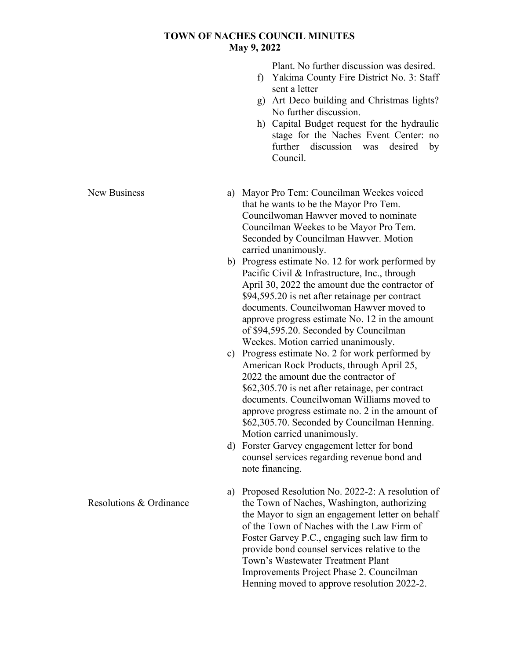Plant. No further discussion was desired.

- f) Yakima County Fire District No. 3: Staff sent a letter
- g) Art Deco building and Christmas lights? No further discussion.
- h) Capital Budget request for the hydraulic stage for the Naches Event Center: no further discussion was desired by Council.

a) Mayor Pro Tem: Councilman Weekes voiced that he wants to be the Mayor Pro Tem. Councilwoman Hawver moved to nominate Councilman Weekes to be Mayor Pro Tem. Seconded by Councilman Hawver. Motion carried unanimously.

- b) Progress estimate No. 12 for work performed by Pacific Civil & Infrastructure, Inc., through April 30, 2022 the amount due the contractor of \$94,595.20 is net after retainage per contract documents. Councilwoman Hawver moved to approve progress estimate No. 12 in the amount of \$94,595.20. Seconded by Councilman Weekes. Motion carried unanimously.
- c) Progress estimate No. 2 for work performed by American Rock Products, through April 25, 2022 the amount due the contractor of \$62,305.70 is net after retainage, per contract documents. Councilwoman Williams moved to approve progress estimate no. 2 in the amount of \$62,305.70. Seconded by Councilman Henning. Motion carried unanimously.
- d) Forster Garvey engagement letter for bond counsel services regarding revenue bond and note financing.

a) Proposed Resolution No. 2022-2: A resolution of the Town of Naches, Washington, authorizing the Mayor to sign an engagement letter on behalf of the Town of Naches with the Law Firm of Foster Garvey P.C., engaging such law firm to provide bond counsel services relative to the Town's Wastewater Treatment Plant Improvements Project Phase 2. Councilman Henning moved to approve resolution 2022-2.

New Business

Resolutions & Ordinance